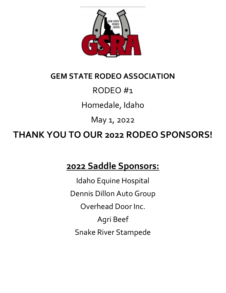

# **GEM STATE RODEO ASSOCIATION**

# RODEO #1

Homedale, Idaho

May 1, 2022

**THANK YOU TO OUR 2022 RODEO SPONSORS!**

# **2022 Saddle Sponsors:**

Idaho Equine Hospital Dennis Dillon Auto Group Overhead Door Inc. Agri Beef Snake River Stampede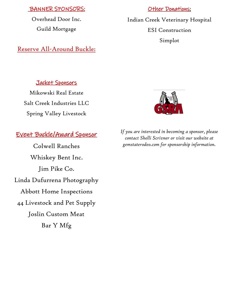### BANNER SPONSORS:

Overhead Door Inc. Guild Mortgage

# Reserve All-Around Buckle:

#### **Other Donations:**

Indian Creek Veterinary Hospital ESI Construction Simplot

### Jacket Sponsors

Mikowski Real Estate Salt Creek Industries LLC Spring Valley Livestock

# Event Buckle/Award Sponsor

Colwell Ranches Whiskey Bent Inc. Jim Pike Co. Linda Dufurrena Photography Abbott Home Inspections 44 Livestock and Pet Supply Joslin Custom Meat Bar Y Mfg



*If you are interested in becoming a sponsor, please contact Shelli Scrivner or visit our website at gemstaterodeo.com for sponsorship information.*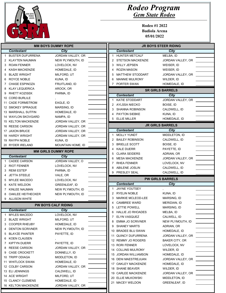

| <b>MM BOYS DUMMY ROPE</b> |                           |                            | <b>JR BOYS STEER RIDING</b> |                               |                         |  |
|---------------------------|---------------------------|----------------------------|-----------------------------|-------------------------------|-------------------------|--|
|                           | <b>Contestant</b>         | City                       |                             | <b>Contestant</b>             | <b>City</b>             |  |
|                           | <b>BUSTER DUFURRENA</b>   | JORDAN VALLEY, OR          |                             | <b>HUNTER METCALF</b>         | MELBA, ID               |  |
| 2                         | KLAYTEN NAUMAN            | NEW PLYMOUTH, ID           |                             | 2 STETSON MACKENZIE           | JORDAN VALLEY, OR       |  |
| 3                         | <b>ROAN FENNER</b>        | LOVELOCK, NV               |                             | 3<br><b>WILLY JEPSEN</b>      | WEISER, ID              |  |
|                           | <b>KASH MACKENZIE</b>     | HOMEDALE, ID               |                             | <b>ROZIN MASON</b><br>4       | WEISER, ID              |  |
| 5                         | <b>BLAZE WRIGHT</b>       | MILFORD, UT                |                             | MATTHEW STODDART<br>5         | JORDAN VALLEY, OR       |  |
| 6                         | ROYCE NOBLE               | KUNA, ID                   |                             | <b>MANNIE MULRONY</b><br>6    | WILDER, ID              |  |
| 7                         | <b>CHASE ESPINOZA</b>     | FRUITLAND, ID              |                             | PORTER SWAN<br>7              | HOMEDALE, ID            |  |
| 8                         | <b>KLAY LEQUERICA</b>     | AROCK, OR                  |                             |                               | <b>SR GIRLS BARRELS</b> |  |
| 9                         | <b>RHETT KOZISEK</b>      | PARMA, ID                  |                             | <b>Contestant</b>             | <b>City</b>             |  |
|                           | 10 CORD BURLILE           |                            |                             | <b>KATIE STODDART</b>         | JORDAN VALLEY, OR       |  |
|                           | 11 CADE FORMSTROM         | EAGLE, ID                  |                             | 2 AYLSSA NIECKO               | BOISE, ID               |  |
|                           | 12 SMOKEY SPRAGUE         | MARSING, ID                |                             | <b>SHANNA ROBINSON</b><br>3   | CALDWELL, ID            |  |
|                           | 13 MARSHALL SUTFIN        | HOMEDALE, ID               |                             | <b>PAYTON SIEBKE</b><br>4     | KUNA, ID                |  |
|                           | <b>14 WAYLON SKOVGARD</b> | NAMPA, ID                  |                             | <b>ELLIE MILLER</b><br>5      | HOMEDALE, ID            |  |
|                           | 15 KELTON MACKENZIE       | JORDAN VALLEY, OR          |                             |                               |                         |  |
|                           | 16 REESE CARSON           | JORDAN VALLEY, OR          |                             |                               | <b>JR GIRLS BARRELS</b> |  |
|                           | 17 JAXON BRUCE            | JORDAN VALLEY, OR          |                             | <b>Contestant</b>             | City                    |  |
|                           | 18 HARDY WRIGHT           | JORDAN VALLEY, OR          |                             | <b>MOLLY YUNDT</b><br>1       | MIDDLETON, ID           |  |
|                           | 19 RAYPH NOBLE            | KUNA, ID                   |                             | <b>BAILEY ROBINSON</b><br>2   | CALDWELL, ID            |  |
|                           | 20 RYDER IRELAND          | MOUNTAIN HOME, ID          |                             | <b>BRIELLE SCOTT</b><br>3     | BOISE, ID               |  |
|                           |                           | <b>MM GIRLS DUMMY ROPE</b> |                             | <b>KALE DUERR</b><br>4        | PAYETTE, ID             |  |
|                           | <b>Contestant</b>         | <b>City</b>                |                             | <b>CLARA SEIDERS</b><br>5     | ADRIAN, OR              |  |
| 1                         | <b>CADEE CARSON</b>       | JORDAN VALLEY, O           |                             | <b>MESA MACKENZIE</b><br>6    | JORDAN VALLEY, OR       |  |
| 2                         | <b>RIOT FENNER</b>        | LOVELOCK, NV               |                             | <b>RHEA FENNER</b><br>7       | LOVELOCK, NV            |  |
| 3                         | <b>REMI ESTEP</b>         | PARMA, ID                  |                             | ABILENE JOSLIN<br>8           | CALDWELL, ID            |  |
|                           | <b>JETTA STEELE</b>       | VALE, OR                   |                             | PRESLEY SEAL<br>9             | CALDWELL, ID            |  |
| 5                         | <b>MYLEE MACEDO</b>       | LOVELOCK, NV               |                             |                               | <b>PW GIRLS BARRELS</b> |  |
| 6                         | <b>KATE WELDON</b>        | <b>GREENLEAF, ID</b>       |                             | <b>Contestant</b>             | City                    |  |
|                           | KINLEE NAUMAN             | NEW PLYMOUTH, ID           |                             | <b>JAYNE YOUTSEY</b><br>1     |                         |  |
| 8                         | <b>OAKLEE HEITHECKER</b>  | NEW PLYMOUTH, ID           |                             | <b>RYELIN NOBLE</b><br>2      | KUNA, ID                |  |
|                           | 9 ALLISON WHITE           |                            |                             | <b>MARKIE MCLEOD-LEE</b><br>3 | MARSING, ID             |  |
|                           |                           | <b>PW BOYS CALF RIDING</b> |                             | <b>CAMBREE WARD</b>           | MERIDIAN, ID            |  |
|                           | Contestant                | City                       |                             | 5<br>LETTIE POWELL            | MARSING, ID             |  |
|                           | <b>MYLES MACEDO</b>       | LOVELOCK, NV               |                             | 6 HALLIE JO RHOADES           | MELBA, ID               |  |
| 2                         | <b>BLAZE WRIGHT</b>       | MILFORD, UT                |                             | ELYN VASQUEZ<br>7             | CALWELL, ID             |  |
| 3.                        | <b>COOPER RHEUBY</b>      | HOMEDALE, ID               |                             | <b>EMMA JO SCRIVNER</b><br>8  | NEW PLYMOUTH, ID        |  |
|                           | <b>DENTON SCRIVNER</b>    | NEW PLYMOUTH, ID           |                             | <b>SHANEY MARTS</b><br>9      | ADRIAN, OR              |  |
| 5                         | <b>BLAYZE PAINTER</b>     | PAYETTE, ID                |                             | 10 BRADEE BLU SWAN            | HOMEDALE, ID            |  |
| 6                         | <b>KOEN CLAUSEN</b>       |                            |                             | <b>QUINCY DUFURRENA</b><br>11 | JORDAN VALLEY, OR       |  |
| 7                         | <b>KIPTYN DUERR</b>       | PAYETTE, ID                |                             | 12 REMMY JO ROGERS            | <b>BAKER CITY, OR</b>   |  |
| 8                         | <b>REESE CARSON</b>       | JORDAN VALLEY, OR          |                             | 13 RORI FENNER                | LOVELOCK, NV            |  |
| 9                         | <b>CASE CROCKETT</b>      | DONNELLY, ID               |                             | 14 COLLINS MULRONY            | WILDER, ID              |  |
|                           | 10 TRIPP ODIAGA           | MIDDLETON, ID              |                             | 15 JORDAN WILLIAMSON          | HOMEDALE, ID            |  |
|                           | 11 WHITLOCK SWAN          | HOMEDALE, ID               |                             | 16 DENI MAESTREJUAN           | JORDAN VALLEY, OR       |  |
|                           | 12 COLBY CARSON           | JORDAN VALLEY, OR          |                             | 17 OAKLEY MACKENZIE           | HOMEDALE, ID            |  |
|                           | 13 ELI JENNINGS           | CALDWELL, ID               |                             | 18 SHANE BEAVER               | WILDER, ID              |  |
|                           | 14 ACE WRIGHT             | MILFORD, UT                |                             | 19 CARLEE MACKENZIE           | JORDAN VALLEY, OR       |  |
|                           | 15 CLANCY CLEMENS         | HOMEDALE, ID               |                             | 20 ELLIE MILKOWSKI            | MIDDLETON, ID           |  |
|                           | 16 KELTON MACKENZIE       | JORDAN VALLEY, OR          |                             | 21 MACEY WELDON               | <b>GREENLEAF, ID</b>    |  |
|                           |                           |                            |                             |                               |                         |  |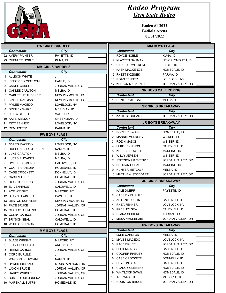| GEM STATE<br>RODEO<br>ASSOC. |
|------------------------------|
|                              |

| <b>PW GIRLS BARRELS</b> |                           |                         | <b>MM BOYS FLAGS</b>                             |                                 |  |
|-------------------------|---------------------------|-------------------------|--------------------------------------------------|---------------------------------|--|
|                         | <b>Contestant</b>         | City                    | <b>Contestant</b>                                | City                            |  |
|                         | 22 AVERY PAINTER          | PAYETTE, ID             | 11 ROYCE NOBLE                                   | KUNA, ID                        |  |
|                         | 23 RHENLEE NOBLE          | KUNA, ID                | 12 KLAYTEN NAUMAN                                | NEW PLYMOUTH, ID                |  |
|                         |                           | <b>MM GIRLS BARRELS</b> | 13 CADE FORMSTROM                                | EAGLE, ID                       |  |
|                         | <b>Contestant</b>         | <b>City</b>             | 14 KASH MACKENZIE                                | HOMEDALE, ID                    |  |
| 1                       | <b>ALLISON WHITE</b>      |                         | 15 RHETT KOZISEK                                 | PARMA, ID                       |  |
| 2                       | KINSEY FORNSTROM          | EAGLE, ID               | 16 ROAN FENNER                                   | LOVELOCK, NV                    |  |
| 3                       | <b>CADEE CARSON</b>       | JORDAN VALLEY, O        | 17 KELTON MACKENZIE                              | JORDAN VALLEY, OR               |  |
| 4                       | OAKLEE CARLTON            | MELBA, ID               |                                                  | <b>SR BOYS CALF ROPING</b>      |  |
| 5                       | OAKLEE HEITHECKER         | NEW PLYMOUTH, ID        | <b>Contestant</b>                                | City                            |  |
| 6                       | KINLEE NAUMAN             | NEW PLYMOUTH, ID        | 1 HUNTER METCALF                                 | MELBA, ID                       |  |
|                         | <b>MYLEE MACEDO</b>       | LOVELOCK, NV            |                                                  |                                 |  |
| 8                       | <b>BRINLEY WARD</b>       | MERIDIAN, ID            |                                                  | <b>SR GIRLS BREAKAWAY</b>       |  |
| 9                       | <b>JETTA STEELE</b>       | VALE, OR                | <b>Contestant</b>                                | City                            |  |
|                         | 10 KATE WELDON            | <b>GREENLEAF, ID</b>    | <b>KATIE STODDART</b>                            | JORDAN VALLEY, OR               |  |
|                         | 11 RIOT FENNER            | LOVELOCK, NV            |                                                  | <b>JR BOYS BREAKAWAY</b>        |  |
|                         | 12 REMI ESTEP             | PARMA, ID               | <b>Contestant</b>                                | City                            |  |
|                         |                           |                         | PORTER SWAN                                      | HOMEDALE, ID                    |  |
|                         |                           | <b>PW BOYS FLAGS</b>    | <b>MANNIE MULRONY</b><br>2                       | WILDER, ID                      |  |
|                         | <b>Contestant</b>         | <b>City</b>             | <b>ROZIN MASON</b><br>3                          | WEISER, ID                      |  |
| 1                       | <b>MYLES MACEDO</b>       | LOVELOCK, NV            | LUKE JENNINGS<br>4                               | CALDWELL, ID                    |  |
| 2                       | <b>HUDSON CHRISTENSEN</b> | NAMPA, ID               | <b>KREECE POWELL</b><br>5                        | MARSING, ID                     |  |
| 3                       | <b>LUKE CARLTON</b>       | MELBA, ID               | <b>WILLY JEPSEN</b><br>6                         | WEISER, ID                      |  |
|                         | LUCAS RHOADES             | MELBA, ID               | STETSON MACKENZIE                                | JORDAN VALLEY, OR               |  |
| 5                       | <b>RYLE READMOND</b>      | CALDWELL, ID            | <b>BROGAN GEBAUER</b><br>8                       | MARSING, ID                     |  |
| 6                       | <b>COOPER RHEUBY</b>      | HOMEDALE, ID            | <b>HUNTER METCALF</b><br>9                       | MELBA, ID                       |  |
| 7                       | <b>CASE CROCKETT</b>      | DONNELLY, ID            | 10 MATTHEW STODDART                              | JORDAN VALLEY, OR               |  |
| 8                       | <b>CASH MILLER</b>        | HOMEDALE, ID            |                                                  | <b>JR GIRLS BREAKAWAY</b>       |  |
|                         |                           |                         |                                                  |                                 |  |
| 9                       | <b>HOUSTON BRUCE</b>      | JORDAN VALLEY, OR       |                                                  |                                 |  |
|                         | 10 ELI JENNINGS           | CALDWELL, ID            | <b>Contestant</b><br>1                           | <b>City</b>                     |  |
|                         | 11 ACE WRIGHT             | MILFORD, UT             | <b>KALE DUERR</b>                                | PAYETTE, ID                     |  |
|                         | 12 BLAYZE PAINTER         | PAYETTE, ID             | <b>CASSIDY BURLILE</b><br>2                      |                                 |  |
|                         | 13 DENTON SCRIVNER        | NEW PLYMOUTH, ID        | <b>ABILENE JOSLIN</b><br>3<br>4                  | CALDWELL, ID                    |  |
|                         | 14 PACE BRUCE             | JORDAN VALLEY, OR       | <b>RHEA FENNER</b>                               | LOVELOCK, NV                    |  |
|                         | 15 CLANCY CLEMENS         | HOMEDALE, ID            | 5<br><b>PRESLEY SEAL</b><br>6                    | CALDWELL, ID                    |  |
|                         | 16 COLBY CARSON           | JORDAN VALLEY, OR       | <b>CLARA SEIDERS</b><br>7 MESA MACKENZIE         | ADRIAN, OR<br>JORDAN VALLEY, OR |  |
|                         | 17 BRYSON SEAL            | CALDWELL, ID            |                                                  |                                 |  |
|                         | 18 WHITLOCK SWAN          | HOMEDALE, ID            |                                                  | <b>PW BOYS BREAKAWAY</b>        |  |
|                         |                           | <b>MM BOYS FLAGS</b>    | <b>Contestant</b><br>1                           | City                            |  |
|                         | <b>Contestant</b>         | City                    | LUKE CARLTON<br>2                                | MELBA, ID<br>LOVELOCK, NV       |  |
| 1                       | <b>BLAZE WRIGHT</b>       | MILFORD, UT             | <b>MYLES MACEDO</b><br>3                         |                                 |  |
|                         | 2 KLAY LEQUERICA          | AROCK, OR               | <b>PACE BRUCE</b><br>4                           | JORDAN VALLEY, OR               |  |
| 3                       | <b>REESE CARSON</b>       | JORDAN VALLEY, OR       | <b>ELI JENNINGS</b><br><b>COOPER RHEUBY</b><br>5 | CALDWELL, ID                    |  |
| 4                       | <b>CORD BURLILE</b>       |                         | <b>CASE CROCKETT</b><br>6                        | HOMEDALE, ID<br>DONNELLY, ID    |  |
|                         | 5 WAYLON SKOVGARD         | NAMPA, ID               | 7                                                | CALDWELL, ID                    |  |
| 6                       | RYDER IRELAND             | MOUNTAIN HOME, ID       | <b>BRYSON SEAL</b><br>8 CLANCY CLEMENS           | HOMEDALE, ID                    |  |
|                         | 7 JAXON BRUCE             | JORDAN VALLEY, OR       |                                                  |                                 |  |
| 8                       | <b>HARDY WRIGHT</b>       | JORDAN VALLEY, OR       | 9 WHITLOCK SWAN                                  | HOMEDALE, ID                    |  |
| 9                       | <b>BUSTER DUFURRENA</b>   | JORDAN VALLEY, OR       | 10 ACE WRIGHT                                    | MILFORD, UT                     |  |
|                         | 10 MARSHALL SUTFIN        | HOMEDALE, ID            | 11 HOUSTON BRUCE                                 | JORDAN VALLEY, OR               |  |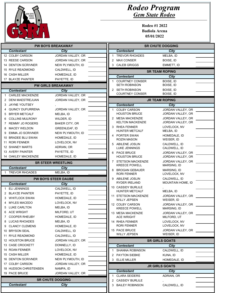

|   | <b>PW BOYS BREAKAWAY</b>                 |                             |    | <b>SR CHUTE DOGGING</b>                     |                                        |  |
|---|------------------------------------------|-----------------------------|----|---------------------------------------------|----------------------------------------|--|
|   | <b>Contestant</b>                        | City                        |    | <b>Contestant</b>                           | City                                   |  |
|   | 12 COLBY CARSON                          | JORDAN VALLEY, OR           |    | 1 TREVOR RHOADES                            | MELBA, ID                              |  |
|   | 13 REESE CARSON                          | JORDAN VALLEY, OR           | 2  | <b>MAX CONSER</b>                           | BOISE, ID                              |  |
|   | 14 DENTON SCRIVNER                       | NEW PLYMOUTH, ID            | 3  | <b>CALEB GRIGGS</b>                         | EMMETT, ID                             |  |
|   | 15 RYLE READMOND                         | CALDWELL, ID                |    |                                             | <b>SR TEAM ROPING</b>                  |  |
|   | 16 CASH MILLER                           | HOMEDALE, ID                |    | <b>Contestant</b>                           | City                                   |  |
|   | 17 BLAYZE PAINTER                        | PAYETTE, ID                 | 1  | <b>COURTNEY CONSER</b>                      | BOISE, ID                              |  |
|   |                                          | <b>PW GIRLS BREAKAWAY</b>   |    | <b>SETH ROBINSON</b>                        | BOISE, ID                              |  |
|   | <b>Contestant</b>                        | <b>City</b>                 |    | 2 SETH ROBINSON                             | BOISE, ID                              |  |
|   | <b>CARLEE MACKENZIE</b>                  | JORDAN VALLEY, OR           |    | <b>COURTNEY CONSER</b>                      | BOISE, ID                              |  |
|   | 2 DENI MAESTREJUAN                       | JORDAN VALLEY, OR           |    |                                             | <b>JR TEAM ROPING</b>                  |  |
| 3 | <b>JAYNE YOUTSEY</b>                     |                             |    | <b>Contestant</b>                           | City                                   |  |
|   | <b>QUINCY DUFURRENA</b>                  | JORDAN VALLEY, OR           | 1  | <b>COLBY CARSON</b>                         | JORDAN VALLEY, OR                      |  |
| 5 | <b>BRYER METCALF</b>                     | MELBA, ID                   |    | <b>HOUSTON BRUCE</b>                        | JORDAN VALLEY, OR                      |  |
| 6 | <b>COLLINS MULRONY</b>                   | WILDER, ID                  |    | 2 MESA MACKENZIE<br><b>KELTON MACKENZIE</b> | JORDAN VALLEY, OR<br>JORDAN VALLEY, OR |  |
| 7 | <b>REMMY JO ROGERS</b>                   | <b>BAKER CITY, OR</b>       |    | 3 RHEA FENNER                               | LOVELOCK, NV                           |  |
| 8 | <b>MACEY WELDON</b>                      | <b>GREENLEAF, ID</b>        |    | <b>HUNTER METCALF</b>                       | MELBA, ID                              |  |
| 9 | <b>EMMA JO SCRIVNER</b>                  | NEW PLYMOUTH, ID            |    | 4 PORTER SWAN                               | HOMEDALE, ID                           |  |
|   | 10 BRADEE BLU SWAN                       | HOMEDALE, ID                |    | ROZIN MASON                                 | WEISER, ID                             |  |
|   | 11 RORI FENNER                           | LOVELOCK, NV                |    | 5 ABILENE JOSLIN                            | CALDWELL, ID                           |  |
|   | 12 SHANEY MARTS                          | ADRIAN, OR                  |    | LUKE JENNINGS                               | CALDWELL, ID                           |  |
|   | 13 AVERY PAINTER                         | PAYETTE, ID                 |    | 6 PACE BRUCE                                | JORDAN VALLEY, OR                      |  |
|   | 14 OAKLEY MACKENZIE                      | HOMEDALE, ID                |    | <b>HOUSTON BRUCE</b>                        | JORDAN VALLEY, OR                      |  |
|   |                                          | <b>SR STEER WRESTLING</b>   |    | 7 STETSON MACKENZIE<br><b>KREECE POWELL</b> | JORDAN VALLEY, OR<br>MARSING, ID       |  |
|   | <b>Contestant</b><br>1 TREVOR RHOADES    | City                        |    | 8 BROGAN GEBAUER                            | MARSING, ID                            |  |
|   |                                          | MELBA, ID                   |    | RORI FENNER                                 | LOVELOCK, NV                           |  |
|   |                                          | <b>PW BOYS STEER DAUBE</b>  |    | 9 ABILENE JOSLIN<br>RYDER IRELAND           | CALDWELL, ID<br>MOUNTAIN HOME, ID      |  |
| 1 | <b>Contestant</b><br><b>ELI JENNINGS</b> | <b>City</b><br>CALDWELL, ID |    | 10 CASSIDY BURLILE                          |                                        |  |
|   | 2 BLAYZE PAINTER                         | PAYETTE, ID                 |    | <b>HUNTER METCALF</b>                       | MELBA, ID                              |  |
| 3 | <b>WHITLOCK SWAN</b>                     | HOMEDALE, ID                |    | 11 STETSON MACKENZIE                        | JORDAN VALLEY, OR                      |  |
|   | <b>MYLES MACEDO</b>                      | LOVELOCK, NV                |    | <b>WILLY JEPSEN</b>                         | WEISER, ID                             |  |
|   | <b>LUKE CARLTON</b>                      | MELBA, ID                   |    | 12 COLBY CARSON                             | JORDAN VALLEY, OR                      |  |
|   | 6 ACE WRIGHT                             | MILFORD, UT                 |    | <b>KREECE POWELL</b><br>13 MESA MACKENZIE   | MARSING, ID<br>JORDAN VALLEY, OR       |  |
|   | 7 COOPER RHEUBY                          | HOMEDALE, ID                |    | <b>ACE WRIGHT</b>                           | MILFORD, UT                            |  |
|   | 8 LUCAS RHOADES                          | MELBA, ID                   |    | 14 RHEA FENNER                              | LOVELOCK, NV                           |  |
|   | 9 CLANCY CLEMENS                         | HOMEDALE, ID                |    | RORI FENNER                                 | LOVELOCK, NV                           |  |
|   | 10 BRYSON SEAL                           | CALDWELL, ID                |    | 15 PACE BRUCE                               | JORDAN VALLEY, OR                      |  |
|   | 11 RYLE READMOND                         | CALDWELL, ID                |    | <b>WILLY JEPSEN</b>                         | WEISER, ID                             |  |
|   | 12 HOUSTON BRUCE                         | JORDAN VALLEY, OR           |    |                                             | <b>SR GIRLS GOATS</b>                  |  |
|   | 13 CASE CROCKETT                         | DONNELLY, ID                |    | <b>Contestant</b>                           | <b>City</b>                            |  |
|   | 14 ROAN FENNER                           | LOVELOCK, NV                | 1. | <b>SHANNA ROBINSON</b>                      | CALDWELL, ID                           |  |
|   | 15 CASH MILLER                           | HOMEDALE, ID                | 2  | <b>PAYTON SIEBKE</b>                        | KUNA, ID                               |  |
|   | 16 DENTON SCRIVNER                       | NEW PLYMOUTH, ID            |    | 3 ELLIE MILLER                              | HOMEDALE, ID                           |  |
|   | 17 COLBY CARSON                          | JORDAN VALLEY, OR           |    |                                             | <b>JR GIRLS GOATS</b>                  |  |
|   | 18 HUDSON CHRISTENSEN                    | NAMPA, ID                   |    | <b>Contestant</b>                           | City                                   |  |
|   | 19 PACE BRUCE                            | JORDAN VALLEY, OR           | 1  | <b>CLARA SEIDERS</b>                        | ADRIAN, OR                             |  |
|   |                                          | <b>SR CHUTE DOGGING</b>     | 2  | <b>CASSIDY BURLILE</b>                      |                                        |  |
|   | <b>Contestant</b>                        | City                        | 3. | <b>BAILEY ROBINSON</b>                      | CALDWELL, ID                           |  |
|   |                                          |                             |    |                                             |                                        |  |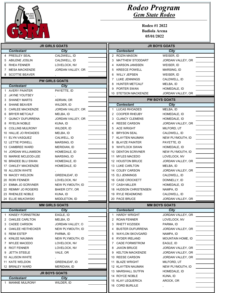

|        | <b>JR GIRLS GOATS</b>                   |                                  |                      |                                                 | <b>JR BOYS GOATS</b>                   |
|--------|-----------------------------------------|----------------------------------|----------------------|-------------------------------------------------|----------------------------------------|
|        | <b>Contestant</b>                       | City                             |                      | <b>Contestant</b>                               | City                                   |
| 4      | <b>PRESLEY SEAL</b>                     | CALDWELL, ID                     |                      | 2 ROZIN MASON                                   | WEISER, ID                             |
| 5      | <b>ABILENE JOSLIN</b>                   | CALDWELL, ID                     | 3                    | MATTHEW STODDART                                | JORDAN VALLEY, OR                      |
| 6      | <b>RHEA FENNER</b>                      | LOVELOCK, NV                     | 4                    | <b>KARSON JANSSEN</b>                           | WEISER, ID                             |
| 7      | <b>MESA MACKENZIE</b>                   | JORDAN VALLEY, OR                | 5                    | <b>KREECE POWELL</b>                            | MARSING, ID                            |
|        | 8 SCOTTIE BEAVER                        |                                  | 6                    | <b>WILLY JEPSEN</b>                             | WEISER, ID                             |
|        |                                         |                                  |                      | LUKE JENNINGS                                   | CALDWELL, ID                           |
|        | <b>PW GIRLS GOATS</b>                   |                                  | 8                    | <b>HUNTER METCALF</b>                           | MELBA, ID                              |
|        | <b>Contestant</b>                       | <b>City</b>                      | 9                    | PORTER SWAN                                     | HOMEDALE, ID                           |
|        | 1 AVERY PAINTER                         | PAYETTE, ID                      |                      | 10 STETSON MACKENZIE                            | JORDAN VALLEY, OR                      |
|        | 2 JAYNE YOUTSEY                         |                                  |                      |                                                 |                                        |
| 3      | <b>SHANEY MARTS</b>                     | ADRIAN, OR                       |                      |                                                 | <b>PW BOYS GOATS</b>                   |
| 4      | <b>SHANE BEAVER</b>                     | WILDER, ID                       |                      | <b>Contestant</b>                               | City                                   |
| 5      | <b>CARLEE MACKENZIE</b>                 | JORDAN VALLEY, OR                | 1                    | <b>LUCAS RHOADES</b>                            | MELBA, ID                              |
| 6      | <b>BRYER METCALF</b>                    | MELBA, ID                        | $\overline{2}$       | <b>COOPER RHEUBY</b>                            | HOMEDALE, ID                           |
| 7      | <b>QUINCY DUFURRENA</b>                 | JORDAN VALLEY, OR                | 3                    | <b>CLANCY CLEMENS</b>                           | HOMEDALE, ID                           |
| 8      | <b>RYELIN NOBLE</b>                     | KUNA, ID                         |                      | <b>REESE CARSON</b>                             | JORDAN VALLEY, OR                      |
| 9      | <b>COLLINS MULRONY</b>                  | WILDER, ID                       | 5                    | ACE WRIGHT                                      | MILFORD, UT                            |
|        | 10 HALLIE JO RHOADES                    | MELBA, ID                        | 6                    | <b>BRYSON SEAL</b>                              | CALDWELL, ID                           |
|        | 11 ELYN VASQUEZ                         | CALWELL, ID                      | 7                    | <b>KLAYTEN NAUMAN</b>                           | NEW PLYMOUTH, ID                       |
|        | 12 LETTIE POWELL                        | MARSING, ID                      | 8                    | <b>BLAYZE PAINTER</b>                           | PAYETTE, ID                            |
|        | 13 CAMBREE WARD                         | MERIDIAN, ID                     | 9                    | <b>WHITLOCK SWAN</b>                            | HOMEDALE, ID                           |
|        | 14 JORDAN WILLIAMSON                    | HOMEDALE, ID                     |                      | 10 DENTON SCRIVNER                              | NEW PLYMOUTH, ID                       |
|        | 15 MARKIE MCLEOD-LEE                    | MARSING, ID                      |                      | 11 MYLES MACEDO                                 | LOVELOCK, NV                           |
|        | 16 BRADEE BLU SWAN                      | HOMEDALE, ID                     |                      | 12 HOUSTON BRUCE                                | JORDAN VALLEY, OR                      |
|        | 17 OAKLEY MACKENZIE                     | HOMEDALE, ID                     |                      | 13 LUKE CARLTON                                 | MELBA, ID                              |
|        | 18 ALLISON WHITE                        |                                  |                      | 14 COLBY CARSON                                 | JORDAN VALLEY, OR                      |
|        | 19 MACEY WELDON                         | <b>GREENLEAF, ID</b>             |                      | 15 ELI JENNINGS                                 | CALDWELL, ID                           |
|        | 20 RORI FENNER                          | LOVELOCK, NV                     |                      | 16 CASE CROCKETT                                | DONNELLY, ID                           |
|        | 21 EMMA JO SCRIVNER                     | NEW PLYMOUTH, ID                 |                      | 17 CASH MILLER                                  | HOMEDALE, ID                           |
|        | 22 REMMY JO ROGERS                      | <b>BAKER CITY, OR</b>            |                      | 18 HUDSON CHRISTENSEN                           | NAMPA, ID                              |
|        | 23 RHENLEE NOBLE                        | KUNA, ID                         |                      | 19 RYLE READMOND                                | CALDWELL, ID                           |
|        | 24 ELLIE MILKOWSKI                      | MIDDLETON, ID                    |                      | 20 PACE BRUCE                                   | JORDAN VALLEY, OR                      |
|        | <b>MM GIRLS GOATS</b>                   |                                  | <b>MM BOYS GOATS</b> |                                                 |                                        |
|        | <b>Contestant</b>                       | <b>City</b>                      |                      | <b>Contestant</b>                               | <b>City</b>                            |
|        | KINSEY FORNSTROM                        | EAGLE, ID                        | 1                    | <b>HARDY WRIGHT</b>                             | JORDAN VALLEY, OR                      |
|        | 2 OAKLEE CARLTON                        | MELBA, ID                        |                      | 2 ROAN FENNER                                   | LOVELOCK, NV                           |
|        | 3 CADEE CARSON                          | JORDAN VALLEY, O                 | 3                    | <b>RHETT KOZISEK</b><br><b>BUSTER DUFURRENA</b> | PARMA, ID                              |
| 4      | OAKLEE HEITHECKER<br><b>REMI ESTEP</b>  | NEW PLYMOUTH, ID<br>PARMA, ID    | 4                    | WAYLON SKOVGARD                                 | JORDAN VALLEY, OR<br>NAMPA, ID         |
| 5      |                                         |                                  | 5<br>6               | RYDER IRELAND                                   | <b>MOUNTAIN HOME, ID</b>               |
| 6<br>7 | KINLEE NAUMAN<br><b>MYLEE MACEDO</b>    | NEW PLYMOUTH, ID<br>LOVELOCK, NV | 7                    | <b>CADE FORMSTROM</b>                           | EAGLE, ID                              |
|        | <b>RIOT FENNER</b>                      | LOVELOCK, NV                     | 8                    | <b>JAXON BRUCE</b>                              | JORDAN VALLEY, OR                      |
| 8      |                                         |                                  |                      |                                                 |                                        |
| 9      | <b>JETTA STEELE</b><br>10 ALLISON WHITE | VALE, OR                         | 9                    | <b>KELTON MACKENZIE</b><br>10 REESE CARSON      | JORDAN VALLEY, OR<br>JORDAN VALLEY, OR |
|        | 11 KATE WELDON                          | <b>GREENLEAF, ID</b>             |                      | 11 BLAZE WRIGHT                                 | MILFORD, UT                            |
|        | 12 BRINLEY WARD                         | MERIDIAN, ID                     |                      | 12 KLAYTEN NAUMAN                               | NEW PLYMOUTH, ID                       |
|        |                                         |                                  |                      | 13 MARSHALL SUTFIN                              | HOMEDALE, ID                           |
|        | <b>JR BOYS GOATS</b>                    |                                  |                      | 14 ROYCE NOBLE                                  | KUNA, ID                               |
|        | <b>Contestant</b>                       | City                             |                      | 15 KLAY LEQUERICA                               | AROCK, OR                              |
|        | <b>MANNIE MULRONY</b>                   | WILDER, ID                       |                      | 16 CORD BURLILE                                 |                                        |
|        |                                         |                                  |                      |                                                 |                                        |
|        |                                         |                                  |                      |                                                 |                                        |